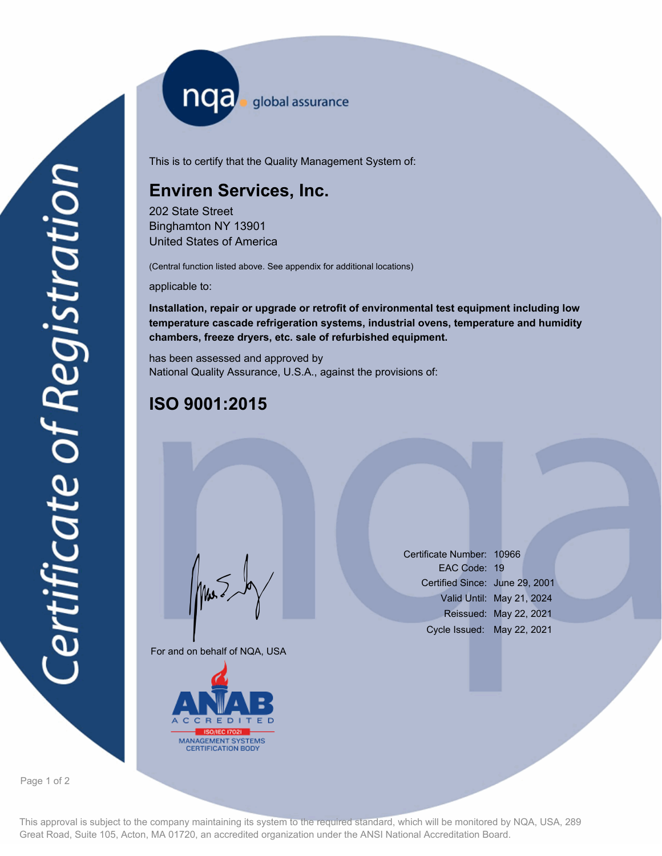nqa <sub>global</sub> assurance

This is to certify that the Quality Management System of:

## **Enviren Services, Inc.**

202 State Street Binghamton NY 13901 United States of America

(Central function listed above. See appendix for additional locations)

applicable to:

**Installation, repair or upgrade or retrofit of environmental test equipment including low temperature cascade refrigeration systems, industrial ovens, temperature and humidity chambers, freeze dryers, etc. sale of refurbished equipment.**

has been assessed and approved by National Quality Assurance, U.S.A., against the provisions of:

## **ISO 9001:2015**

For and on behalf of NQA, USA

Mus



Certificate Number: 10966 EAC Code: 19 Certified Since: June 29, 2001 Valid Until: May 21, 2024 Reissued: May 22, 2021 Cycle Issued: May 22, 2021

Page 1 of 2

This approval is subject to the company maintaining its system to the required standard, which will be monitored by NQA, USA, 289 Great Road, Suite 105, Acton, MA 01720, an accredited organization under the ANSI National Accreditation Board.